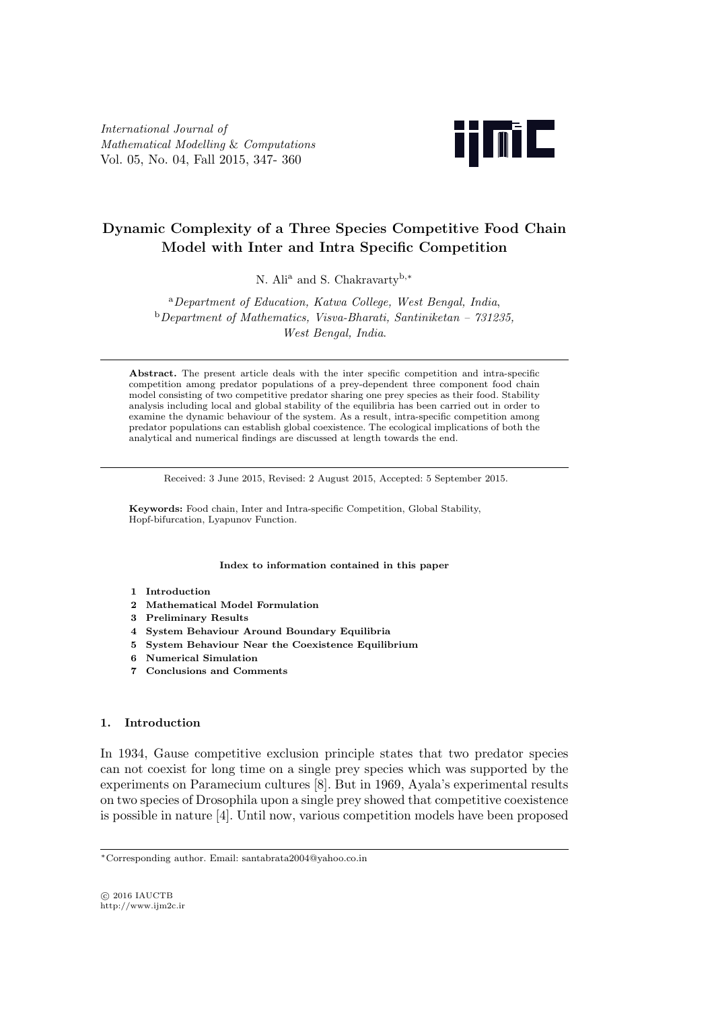*International Journal of Mathematical Modelling* & *Computations* Vol. 05, No. 04, Fall 2015, 347- 360



# **Dynamic Complexity of a Three Species Competitive Food Chain Model with Inter and Intra Specific Competition**

N. Ali<sup>a</sup> and S. Chakravarty<sup>b</sup>*,<sup>∗</sup>*

<sup>a</sup>*Department of Education, Katwa College, West Bengal, India*, <sup>b</sup>*Department of Mathematics, Visva-Bharati, Santiniketan – 731235, West Bengal, India*.

Abstract. The present article deals with the inter specific competition and intra-specific competition among predator populations of a prey-dependent three component food chain model consisting of two competitive predator sharing one prey species as their food. Stability analysis including local and global stability of the equilibria has been carried out in order to examine the dynamic behaviour of the system. As a result, intra-specific competition among predator populations can establish global coexistence. The ecological implications of both the analytical and numerical findings are discussed at length towards the end.

Received: 3 June 2015, Revised: 2 August 2015, Accepted: 5 September 2015.

**Keywords:** Food chain, Inter and Intra-specific Competition, Global Stability, Hopf-bifurcation, Lyapunov Function.

**Index to information contained in this paper**

- **1 Introduction**
- **2 Mathematical Model Formulation**
- **3 Preliminary Results**
- **4 System Behaviour Around Boundary Equilibria**
- **5 System Behaviour Near the Coexistence Equilibrium**
- **6 Numerical Simulation**
- **7 Conclusions and Comments**

## **1. Introduction**

In 1934, Gause competitive exclusion principle states that two predator species can not coexist for long time on a single prey species which was supported by the experiments on Paramecium cultures [8]. But in 1969, Ayala's experimental results on two species of Drosophila upon a single prey showed that competitive coexistence is possible in nature [4]. Until now, various competition models have been proposed

*<sup>∗</sup>*Corresponding author. Email: santabrata2004@yahoo.co.in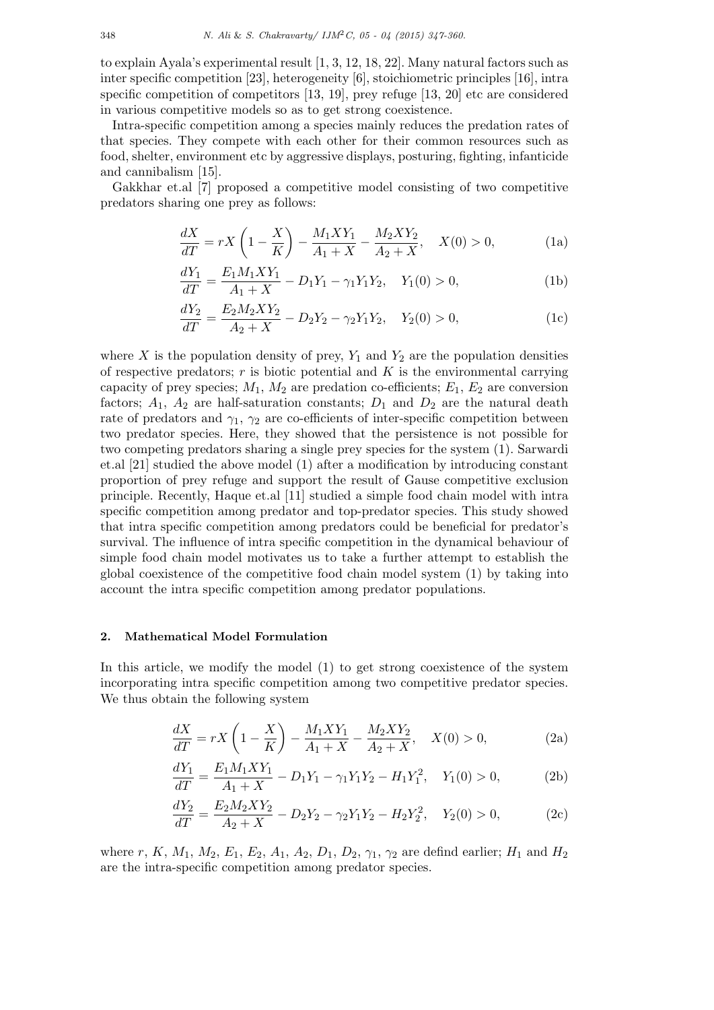to explain Ayala's experimental result [1, 3, 12, 18, 22]. Many natural factors such as inter specific competition [23], heterogeneity [6], stoichiometric principles [16], intra specific competition of competitors [13, 19], prey refuge [13, 20] etc are considered in various competitive models so as to get strong coexistence.

Intra-specific competition among a species mainly reduces the predation rates of that species. They compete with each other for their common resources such as food, shelter, environment etc by aggressive displays, posturing, fighting, infanticide and cannibalism [15].

Gakkhar et.al [7] proposed a competitive model consisting of two competitive predators sharing one prey as follows:

$$
\frac{dX}{dT} = rX\left(1 - \frac{X}{K}\right) - \frac{M_1XY_1}{A_1 + X} - \frac{M_2XY_2}{A_2 + X}, \quad X(0) > 0,\tag{1a}
$$

$$
\frac{dY_1}{dT} = \frac{E_1 M_1 X Y_1}{A_1 + X} - D_1 Y_1 - \gamma_1 Y_1 Y_2, \quad Y_1(0) > 0,
$$
\n(1b)

$$
\frac{dY_2}{dT} = \frac{E_2 M_2 XY_2}{A_2 + X} - D_2 Y_2 - \gamma_2 Y_1 Y_2, \quad Y_2(0) > 0,
$$
\n(1c)

where  $X$  is the population density of prey,  $Y_1$  and  $Y_2$  are the population densities of respective predators; *r* is biotic potential and *K* is the environmental carrying capacity of prey species;  $M_1$ ,  $M_2$  are predation co-efficients;  $E_1$ ,  $E_2$  are conversion factors;  $A_1$ ,  $A_2$  are half-saturation constants;  $D_1$  and  $D_2$  are the natural death rate of predators and  $\gamma_1$ ,  $\gamma_2$  are co-efficients of inter-specific competition between two predator species. Here, they showed that the persistence is not possible for two competing predators sharing a single prey species for the system (1). Sarwardi et.al [21] studied the above model (1) after a modification by introducing constant proportion of prey refuge and support the result of Gause competitive exclusion principle. Recently, Haque et.al [11] studied a simple food chain model with intra specific competition among predator and top-predator species. This study showed that intra specific competition among predators could be beneficial for predator's survival. The influence of intra specific competition in the dynamical behaviour of simple food chain model motivates us to take a further attempt to establish the global coexistence of the competitive food chain model system (1) by taking into account the intra specific competition among predator populations.

# **2. Mathematical Model Formulation**

In this article, we modify the model (1) to get strong coexistence of the system incorporating intra specific competition among two competitive predator species. We thus obtain the following system

$$
\frac{dX}{dT} = rX\left(1 - \frac{X}{K}\right) - \frac{M_1XY_1}{A_1 + X} - \frac{M_2XY_2}{A_2 + X}, \quad X(0) > 0,\tag{2a}
$$

$$
\frac{dY_1}{dT} = \frac{E_1 M_1 XY_1}{A_1 + X} - D_1 Y_1 - \gamma_1 Y_1 Y_2 - H_1 Y_1^2, \quad Y_1(0) > 0,
$$
\n(2b)

$$
\frac{dY_2}{dT} = \frac{E_2 M_2 XY_2}{A_2 + X} - D_2 Y_2 - \gamma_2 Y_1 Y_2 - H_2 Y_2^2, \quad Y_2(0) > 0,
$$
\n(2c)

where  $r, K, M_1, M_2, E_1, E_2, A_1, A_2, D_1, D_2, \gamma_1, \gamma_2$  are defind earlier;  $H_1$  and  $H_2$ are the intra-specific competition among predator species.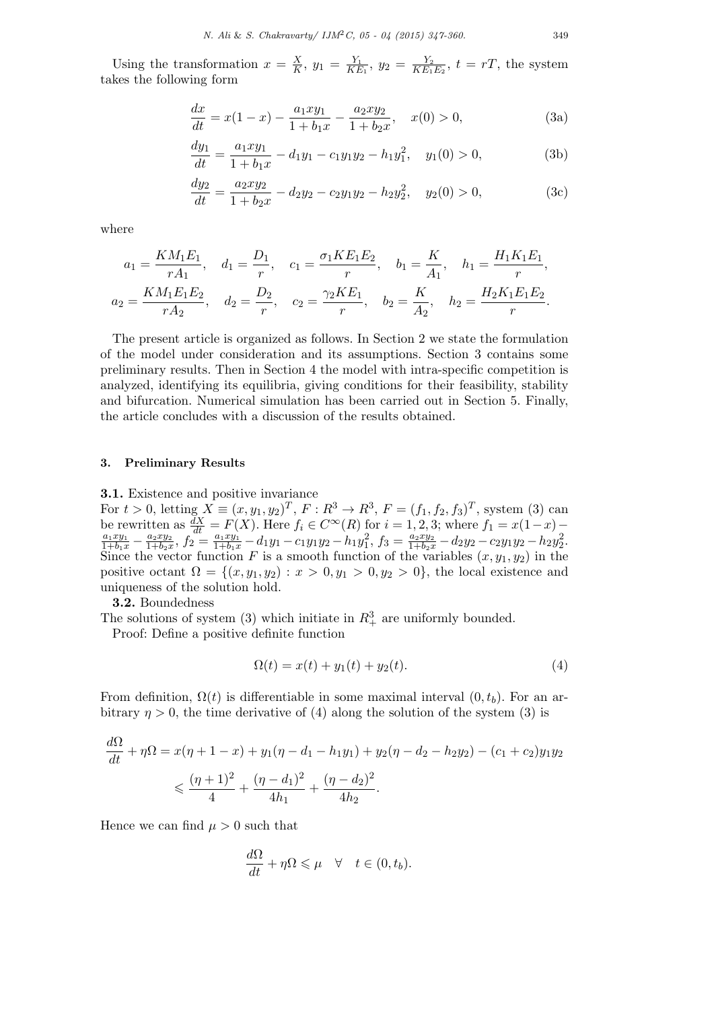Using the transformation  $x = \frac{X}{K}$  $\frac{X}{K}$ ,  $y_1 = \frac{Y_1}{KE}$  $\frac{Y_1}{KE_1}$ ,  $y_2 = \frac{Y_2}{KE_1}$  $\frac{Y_2}{KE_1E_2}$ ,  $t = rT$ , the system takes the following form

$$
\frac{dx}{dt} = x(1-x) - \frac{a_1xy_1}{1+b_1x} - \frac{a_2xy_2}{1+b_2x}, \quad x(0) > 0,
$$
\n(3a)

$$
\frac{dy_1}{dt} = \frac{a_1xy_1}{1+b_1x} - d_1y_1 - c_1y_1y_2 - h_1y_1^2, \quad y_1(0) > 0,
$$
\n(3b)

$$
\frac{dy_2}{dt} = \frac{a_2xy_2}{1+b_2x} - d_2y_2 - c_2y_1y_2 - h_2y_2^2, \quad y_2(0) > 0,
$$
\n(3c)

where

$$
a_1 = \frac{KM_1E_1}{rA_1}, \quad d_1 = \frac{D_1}{r}, \quad c_1 = \frac{\sigma_1KE_1E_2}{r}, \quad b_1 = \frac{K}{A_1}, \quad h_1 = \frac{H_1K_1E_1}{r},
$$
  

$$
a_2 = \frac{KM_1E_1E_2}{rA_2}, \quad d_2 = \frac{D_2}{r}, \quad c_2 = \frac{\gamma_2KE_1}{r}, \quad b_2 = \frac{K}{A_2}, \quad h_2 = \frac{H_2K_1E_1E_2}{r}.
$$

The present article is organized as follows. In Section 2 we state the formulation of the model under consideration and its assumptions. Section 3 contains some preliminary results. Then in Section 4 the model with intra-specific competition is analyzed, identifying its equilibria, giving conditions for their feasibility, stability and bifurcation. Numerical simulation has been carried out in Section 5. Finally, the article concludes with a discussion of the results obtained.

#### **3. Preliminary Results**

**3.1.** Existence and positive invariance

For  $t > 0$ , letting  $X \equiv (x, y_1, y_2)^T$ ,  $F : R^3 \to R^3$ ,  $F = (f_1, f_2, f_3)^T$ , system (3) can be rewritten as  $\frac{dX}{dt} = F(X)$ . Here  $f_i \in C^{\infty}(R)$  for  $i = 1, 2, 3$ ; where  $f_1 = x(1-x) - \frac{a_1xy_1}{1+b_1x} - \frac{a_2xy_2}{1+b_2x}$ ,  $f_2 = \frac{a_1xy_1}{1+b_1x} - d_1y_1 - c_1y_1y_2 - h_1y_1^2$ ,  $f_3 = \frac{a_2xy_2}{1+b_2x} - d_2y_2 - c_2y_1y_2 - h_2y_2^2$  $\frac{a_2xy_2}{1+b_2x}, f_2 = \frac{a_1xy_1}{1+b_1x} - d_1y_1 - c_1y_1y_2 - h_1y_1^2, f_3 = \frac{a_2xy_2}{1+b_2x} - d_2y_2 - c_2y_1y_2 - h_2y_2^2.$ Since the vector function *F* is a smooth function of the variables  $(x, y_1, y_2)$  in the positive octant  $\Omega = \{(x, y_1, y_2) : x > 0, y_1 > 0, y_2 > 0\}$ , the local existence and uniqueness of the solution hold.

**3.2.** Boundedness

The solutions of system (3) which initiate in  $R_+^3$  are uniformly bounded.

Proof: Define a positive definite function

$$
\Omega(t) = x(t) + y_1(t) + y_2(t).
$$
\n(4)

From definition,  $\Omega(t)$  is differentiable in some maximal interval  $(0, t_b)$ . For an arbitrary  $\eta > 0$ , the time derivative of (4) along the solution of the system (3) is

$$
\frac{d\Omega}{dt} + \eta \Omega = x(\eta + 1 - x) + y_1(\eta - d_1 - h_1 y_1) + y_2(\eta - d_2 - h_2 y_2) - (c_1 + c_2)y_1 y_2
$$
  

$$
\leq \frac{(\eta + 1)^2}{4} + \frac{(\eta - d_1)^2}{4h_1} + \frac{(\eta - d_2)^2}{4h_2}.
$$

Hence we can find  $\mu > 0$  such that

$$
\frac{d\Omega}{dt} + \eta \Omega \leqslant \mu \quad \forall \quad t \in (0, t_b).
$$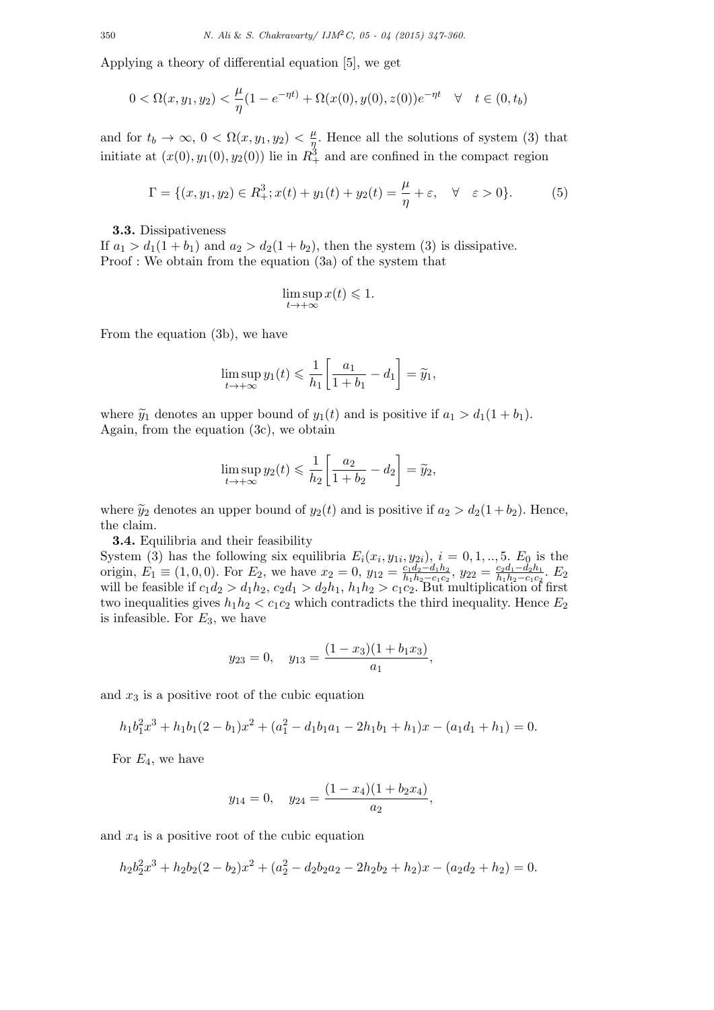Applying a theory of differential equation [5], we get

$$
0 < \Omega(x, y_1, y_2) < \frac{\mu}{\eta}(1 - e^{-\eta t}) + \Omega(x(0), y(0), z(0))e^{-\eta t} \quad \forall \quad t \in (0, t_b)
$$

and for  $t_b \to \infty$ ,  $0 < \Omega(x, y_1, y_2) < \frac{\mu}{n}$  $\frac{\mu}{\eta}$ . Hence all the solutions of system (3) that initiate at  $(x(0), y_1(0), y_2(0))$  lie in  $R_+^3$  and are confined in the compact region

$$
\Gamma = \{ (x, y_1, y_2) \in R_+^3; x(t) + y_1(t) + y_2(t) = \frac{\mu}{\eta} + \varepsilon, \quad \forall \quad \varepsilon > 0 \}. \tag{5}
$$

**3.3.** Dissipativeness

If  $a_1 > d_1(1 + b_1)$  and  $a_2 > d_2(1 + b_2)$ , then the system (3) is dissipative. Proof : We obtain from the equation (3a) of the system that

$$
\limsup_{t \to +\infty} x(t) \leq 1.
$$

From the equation (3b), we have

$$
\limsup_{t \to +\infty} y_1(t) \leq \frac{1}{h_1} \left[ \frac{a_1}{1 + b_1} - d_1 \right] = \widetilde{y}_1,
$$

where  $\widetilde{y}_1$  denotes an upper bound of  $y_1(t)$  and is positive if  $a_1 > d_1(1 + b_1)$ . Again, from the equation (3c), we obtain

$$
\limsup_{t \to +\infty} y_2(t) \leq \frac{1}{h_2} \left[ \frac{a_2}{1 + b_2} - d_2 \right] = \widetilde{y}_2,
$$

where  $\tilde{y}_2$  denotes an upper bound of  $y_2(t)$  and is positive if  $a_2 > d_2(1 + b_2)$ . Hence, the claim.

**3.4.** Equilibria and their feasibility

System (3) has the following six equilibria  $E_i(x_i, y_{1i}, y_{2i})$ ,  $i = 0, 1, \ldots, 5$ .  $E_0$  is the origin,  $E_1 \equiv (1, 0, 0)$ . For  $E_2$ , we have  $x_2 = 0$ ,  $y_{12} = \frac{c_1 d_2 - d_1 h_2}{h_1 h_2 - c_1 c_2}$  $\frac{c_1d_2-d_1h_2}{h_1h_2-c_1c_2}, y_{22} = \frac{c_2d_1-d_2h_1}{h_1h_2-c_1c_2}$  $\frac{c_2d_1-d_2h_1}{h_1h_2-c_1c_2}$ ,  $E_2$ will be feasible if  $c_1d_2 > d_1h_2$ ,  $c_2d_1 > d_2h_1$ ,  $h_1h_2 > c_1c_2$ . But multiplication of first two inequalities gives  $h_1h_2 < c_1c_2$  which contradicts the third inequality. Hence  $E_2$ is infeasible. For *E*3, we have

$$
y_{23} = 0
$$
,  $y_{13} = \frac{(1-x_3)(1+b_1x_3)}{a_1}$ ,

and *x*<sup>3</sup> is a positive root of the cubic equation

$$
h_1b_1^2x^3 + h_1b_1(2-b_1)x^2 + (a_1^2 - d_1b_1a_1 - 2h_1b_1 + h_1)x - (a_1d_1 + h_1) = 0.
$$

For *E*4, we have

$$
y_{14} = 0
$$
,  $y_{24} = \frac{(1 - x_4)(1 + b_2 x_4)}{a_2}$ ,

and  $x_4$  is a positive root of the cubic equation

$$
h_2b_2^2x^3 + h_2b_2(2 - b_2)x^2 + (a_2^2 - d_2b_2a_2 - 2h_2b_2 + h_2)x - (a_2d_2 + h_2) = 0.
$$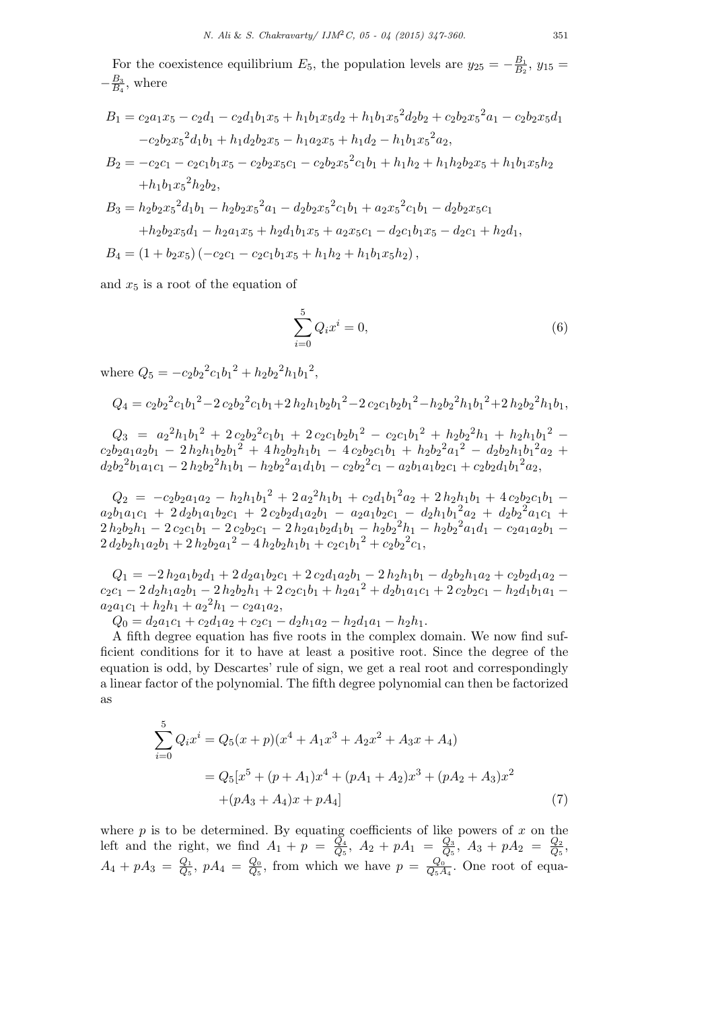For the coexistence equilibrium  $E_5$ , the population levels are  $y_{25} = -\frac{B_1}{B_2}$  $\frac{B_1}{B_2}$ ,  $y_{15} =$ *− B*<sup>3</sup>  $\frac{B_3}{B_4}$ , where

$$
B_1 = c_2 a_1 x_5 - c_2 d_1 - c_2 d_1 b_1 x_5 + h_1 b_1 x_5 d_2 + h_1 b_1 x_5^2 d_2 b_2 + c_2 b_2 x_5^2 a_1 - c_2 b_2 x_5 d_1
$$
  
\n
$$
-c_2 b_2 x_5^2 d_1 b_1 + h_1 d_2 b_2 x_5 - h_1 a_2 x_5 + h_1 d_2 - h_1 b_1 x_5^2 a_2,
$$
  
\n
$$
B_2 = -c_2 c_1 - c_2 c_1 b_1 x_5 - c_2 b_2 x_5 c_1 - c_2 b_2 x_5^2 c_1 b_1 + h_1 h_2 + h_1 h_2 b_2 x_5 + h_1 b_1 x_5 h_2
$$
  
\n
$$
+ h_1 b_1 x_5^2 h_2 b_2,
$$
  
\n
$$
B_3 = h_2 b_2 x_5^2 d_1 b_1 - h_2 b_2 x_5^2 a_1 - d_2 b_2 x_5^2 c_1 b_1 + a_2 x_5^2 c_1 b_1 - d_2 b_2 x_5 c_1
$$
  
\n
$$
+ h_2 b_2 x_5 d_1 - h_2 a_1 x_5 + h_2 d_1 b_1 x_5 + a_2 x_5 c_1 - d_2 c_1 b_1 x_5 - d_2 c_1 + h_2 d_1,
$$
  
\n
$$
B_4 = (1 + b_2 x_5) (-c_2 c_1 - c_2 c_1 b_1 x_5 + h_1 h_2 + h_1 b_1 x_5 h_2),
$$

and *x*<sup>5</sup> is a root of the equation of

$$
\sum_{i=0}^{5} Q_i x^i = 0,\t\t(6)
$$

where  $Q_5 = -c_2b_2{}^2c_1b_1{}^2 + h_2b_2{}^2h_1b_1{}^2$ ,

$$
Q_4 = c_2b_2{}^2c_1b_1{}^2 - 2c_2b_2{}^2c_1b_1 + 2h_2h_1b_2b_1{}^2 - 2c_2c_1b_2b_1{}^2 - h_2b_2{}^2h_1b_1{}^2 + 2h_2b_2{}^2h_1b_1,
$$

 $Q_3 = a_2^2 h_1 b_1^2 + 2 c_2 b_2^2 c_1 b_1 + 2 c_2 c_1 b_2 b_1^2 - c_2 c_1 b_1^2 + h_2 b_2^2 h_1 + h_2 h_1 b_1^2$  $c_2b_2a_1a_2b_1 - 2 h_2h_1b_2b_1^2 + 4 h_2b_2h_1b_1 - 4 c_2b_2c_1b_1 + h_2b_2^2a_1^2 - d_2b_2h_1b_1^2a_2 +$  $d_2b_2{}^2b_1a_1c_1 - 2\,h_2b_2{}^2h_1b_1 - h_2b_2{}^2a_1d_1b_1 - c_2b_2{}^2c_1 - a_2b_1a_1b_2c_1 + c_2b_2d_1b_1{}^2a_2,$ 

 $Q_2 = -c_2b_2a_1a_2 - h_2h_1b_1^2 + 2 a_2^2h_1b_1 + c_2d_1b_1^2a_2 + 2 h_2h_1b_1 + 4 c_2b_2c_1b_1$  $a_2b_1a_1c_1 + 2 d_2b_1a_1b_2c_1 + 2 c_2b_2d_1a_2b_1 - a_2a_1b_2c_1 - d_2h_1b_1^2a_2 + d_2b_2^2a_1c_1 +$  $2\,h_2b_2h_1 - 2\,c_2c_1b_1 - 2\,c_2b_2c_1 - 2\,h_2a_1b_2d_1b_1 - h_2b_2^{\;2}h_1 - h_2b_2^{\;2}a_1d_1 - c_2a_1a_2b_1 2 d_2b_2h_1a_2b_1 + 2 h_2b_2a_1^2 - 4 h_2b_2h_1b_1 + c_2c_1b_1^2 + c_2b_2^2c_1$ 

 $Q_1 = -2 h_2 a_1 b_2 d_1 + 2 d_2 a_1 b_2 c_1 + 2 c_2 d_1 a_2 b_1 - 2 h_2 h_1 b_1 - d_2 b_2 h_1 a_2 + c_2 b_2 d_1 a_2$  $c_2c_1 - 2 d_2h_1a_2b_1 - 2 h_2b_2h_1 + 2 c_2c_1b_1 + h_2a_1^2 + d_2b_1a_1c_1 + 2 c_2b_2c_1 - h_2d_1b_1a_1$  $a_2a_1c_1 + h_2h_1 + a_2^2h_1 - c_2a_1a_2$ 

 $Q_0 = d_2a_1c_1 + c_2d_1a_2 + c_2c_1 - d_2h_1a_2 - h_2d_1a_1 - h_2h_1.$ 

A fifth degree equation has five roots in the complex domain. We now find sufficient conditions for it to have at least a positive root. Since the degree of the equation is odd, by Descartes' rule of sign, we get a real root and correspondingly a linear factor of the polynomial. The fifth degree polynomial can then be factorized as

$$
\sum_{i=0}^{5} Q_i x^i = Q_5(x+p)(x^4 + A_1 x^3 + A_2 x^2 + A_3 x + A_4)
$$
  
=  $Q_5[x^5 + (p+A_1)x^4 + (pA_1 + A_2)x^3 + (pA_2 + A_3)x^2$   
+  $(pA_3 + A_4)x + pA_4$  (7)

where *p* is to be determined. By equating coefficients of like powers of *x* on the left and the right, we find  $A_1 + p = Q_4$  $\frac{\tilde{Q_4}}{Q_5}, \ A_2 + pA_1 = \frac{Q_3}{Q_5}$  $\frac{Q_3}{Q_5}$ ,  $A_3 + pA_2 = \frac{Q_2}{Q_5}$  $\frac{Q_2}{Q_5}$  $A_4 + pA_3 = \frac{Q_1}{Q_5}$  $\frac{Q_1}{Q_5},\ pA_4\ =\ \frac{Q_0}{Q_5}$  $\frac{Q_0}{Q_5}$ , from which we have  $p = \frac{Q_0}{Q_5 A}$  $\frac{Q_0}{Q_5A_4}$ . One root of equa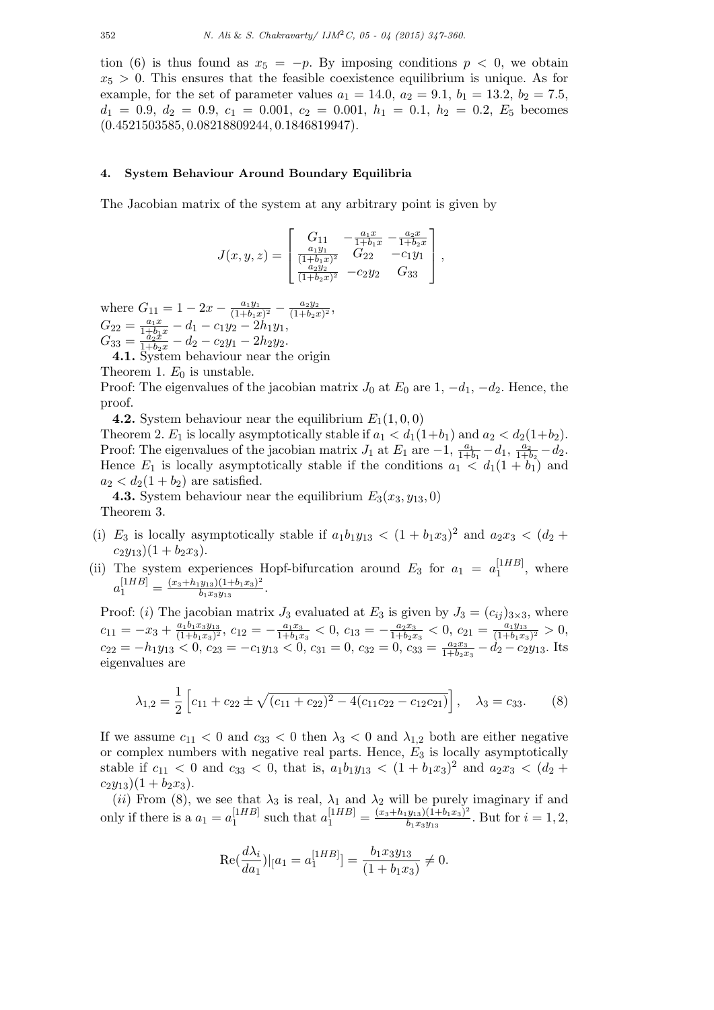tion (6) is thus found as  $x_5 = -p$ . By imposing conditions  $p < 0$ , we obtain  $x_5 > 0$ . This ensures that the feasible coexistence equilibrium is unique. As for example, for the set of parameter values  $a_1 = 14.0$ ,  $a_2 = 9.1$ ,  $b_1 = 13.2$ ,  $b_2 = 7.5$ ,  $d_1 = 0.9, d_2 = 0.9, c_1 = 0.001, c_2 = 0.001, h_1 = 0.1, h_2 = 0.2, E_5$  becomes (0*.*4521503585*,* 0*.*08218809244*,* 0*.*1846819947).

### **4. System Behaviour Around Boundary Equilibria**

The Jacobian matrix of the system at any arbitrary point is given by

$$
J(x,y,z) = \begin{bmatrix} G_{11} & -\frac{a_1x}{1+b_1x} - \frac{a_2x}{1+b_2x} \\ \frac{a_1y_1}{(1+b_1x)^2} & G_{22} & -c_1y_1 \\ \frac{a_2y_2}{(1+b_2x)^2} & -c_2y_2 & G_{33} \end{bmatrix},
$$

where  $G_{11} = 1 - 2x - \frac{a_1y_1}{(1+b_1)^2}$  $\frac{a_1y_1}{(1+b_1x)^2} - \frac{a_2y_2}{(1+b_2x)}$  $\frac{a_2y_2}{(1+b_2x)^2}$  $G_{22} = \frac{a_1x}{1+b_1x} - d_1 - c_1y_2 - 2h_1y_1,$  $G_{33} = \frac{\frac{1}{4}b_2x}{1+b_2x} - d_2 - c_2y_1 - 2h_2y_2.$ 

**4.1.** System behaviour near the origin Theorem 1.  $E_0$  is unstable.

Proof: The eigenvalues of the jacobian matrix  $J_0$  at  $E_0$  are 1,  $-d_1$ ,  $-d_2$ . Hence, the proof.

**4.2.** System behaviour near the equilibrium  $E_1(1,0,0)$ 

Theorem 2.  $E_1$  is locally asymptotically stable if  $a_1 < d_1(1+b_1)$  and  $a_2 < d_2(1+b_2)$ . Proof: The eigenvalues of the jacobian matrix *J*<sub>1</sub> at *E*<sub>1</sub> are  $-1$ ,  $\frac{a_1}{1+b_1} - d_1$ ,  $\frac{a_2}{1+b_2}$  $\frac{a_2}{1+b_2} - d_2.$ Hence  $E_1$  is locally asymptotically stable if the conditions  $a_1 < d_1(1 + b_1^2)$  and  $a_2 < d_2(1 + b_2)$  are satisfied.

**4.3.** System behaviour near the equilibrium  $E_3(x_3, y_{13}, 0)$ Theorem 3.

- (i)  $E_3$  is locally asymptotically stable if  $a_1b_1y_{13} < (1 + b_1x_3)^2$  and  $a_2x_3 < (d_2 +$  $c_2y_{13}(1 + b_2x_3).$
- (ii) The system experiences Hopf-bifurcation around  $E_3$  for  $a_1 = a_1^{\{1HB\}}$  $1^{[1H, D]},$  where  $a_1^{[1HB]} = \frac{(x_3+h_1y_{13})(1+b_1x_3)^2}{b_1x_3y_{13}}$  $\frac{y_{13}(1+0_1x_3)^2}{b_1x_3y_{13}}$ .

Proof: (*i*) The jacobian matrix  $J_3$  evaluated at  $E_3$  is given by  $J_3 = (c_{ij})_{3 \times 3}$ , where  $c_{11} = -x_3 + \frac{a_1b_1x_3y_{13}}{(1+b_1x_2)^2}$  $\frac{a_1b_1x_3y_{13}}{(1+b_1x_3)^2}$ ,  $c_{12}=-\frac{a_1x_3}{1+b_1x_3}$  $\frac{a_1x_3}{1+b_1x_3}$  < 0,  $c_{13} = -\frac{a_2x_3}{1+b_2x_3}$  $\frac{a_2x_3}{1+b_2x_3}$  < 0,  $c_{21} = \frac{a_1y_{13}}{(1+b_1x_3)}$  $\frac{a_1y_{13}}{(1+b_1x_3)^2} > 0,$  $c_{22} = -h_1 y_{13} < 0, c_{23} = -c_1 y_{13} < 0, c_{31} = 0, c_{32} = 0, c_{33} = \frac{a_2 x_3}{1 + b_2 x_1}$  $\frac{a_2x_3}{1+b_2x_3} - d_2 - c_2y_{13}$ . Its eigenvalues are

$$
\lambda_{1,2} = \frac{1}{2} \left[ c_{11} + c_{22} \pm \sqrt{(c_{11} + c_{22})^2 - 4(c_{11}c_{22} - c_{12}c_{21})} \right], \quad \lambda_3 = c_{33}.
$$
 (8)

If we assume  $c_{11} < 0$  and  $c_{33} < 0$  then  $\lambda_3 < 0$  and  $\lambda_{1,2}$  both are either negative or complex numbers with negative real parts. Hence, *E*<sup>3</sup> is locally asymptotically stable if  $c_{11} < 0$  and  $c_{33} < 0$ , that is,  $a_1b_1y_{13} < (1 + b_1x_3)^2$  and  $a_2x_3 < (d_2 +$  $c_2y_{13}(1 + b_2x_3).$ 

(*ii*) From (8), we see that  $\lambda_3$  is real,  $\lambda_1$  and  $\lambda_2$  will be purely imaginary if and only if there is a  $a_1 = a_1^{\text{[1HB]}}$  $\binom{[1HB]}{1}$  such that  $a_1^{[1HB]} = \frac{(x_3 + h_1y_{13})(1 + b_1x_3)^2}{b_1x_3y_{13}}$  $\frac{y_{13}(1+b_1x_3)^2}{b_1x_3y_{13}}$ . But for  $i=1,2$ ,

$$
Re(\frac{d\lambda_i}{da_1})|_{[a_1]} = a_1^{[1HB]} = \frac{b_1x_3y_{13}}{(1+b_1x_3)} \neq 0.
$$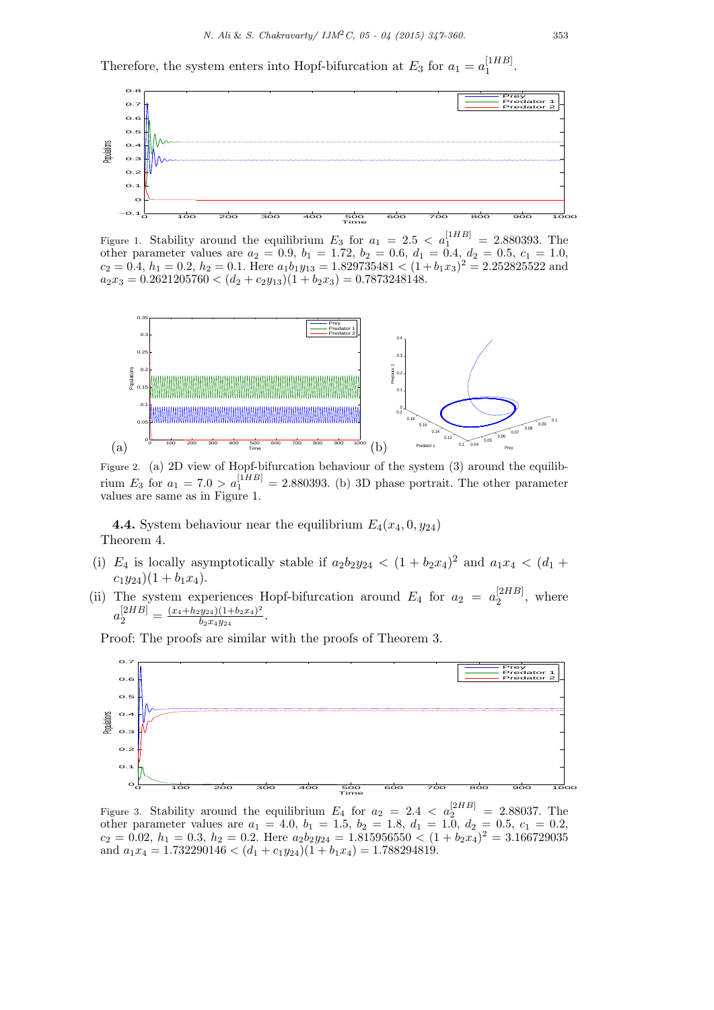Therefore, the system enters into Hopf-bifurcation at  $E_3$  for  $a_1 = a_1^{\{1HB\}}$  $1^{[1H D]}.$ 



Figure 1. Stability around the equilibrium  $E_3$  for  $a_1 = 2.5 < a_1^{\text{[1H]}=1} = 2.880393$ . The other parameter values are  $a_2 = 0.9$ ,  $b_1 = 1.72$ ,  $b_2 = 0.6$ ,  $d_1 = 0.4$ ,  $d_2 = 0.5$ ,  $c_1 = 1.0$ ,  $c_2 = 0.4, h_1 = 0.2, h_2 = 0.1$ . Here  $a_1b_1y_{13} = 1.829735481 < (1 + b_1x_3)^2 = 2.252825522$  and  $a_2x_3 = 0.2621205760 < (d_2 + c_2y_{13})(1 + b_2x_3) = 0.7873248148.$ 



Figure 2. (a) 2D view of Hopf-bifurcation behaviour of the system (3) around the equilibrium  $E_3$  for  $a_1 = 7.0 > a_1^{\lfloor H B \rfloor} = 2.880393$ . (b) 3D phase portrait. The other parameter values are same as in Figure 1.

**4.4.** System behaviour near the equilibrium  $E_4(x_4, 0, y_{24})$ Theorem 4.

- (i)  $E_4$  is locally asymptotically stable if  $a_2b_2y_{24} < (1 + b_2x_4)^2$  and  $a_1x_4 < (d_1 + d_2x_4)^2$  $c_1y_{24}$  $(1 + b_1x_4)$ .
- (ii) The system experiences Hopf-bifurcation around  $E_4$  for  $a_2 = a_2^{\{2HB\}}$  $2^{[2H D]},$  where  $a_2^{[2HB]} = \frac{(x_4+h_2y_{24})(1+b_2x_4)^2}{b_2x_4y_{24}}$  $\frac{b_2a_3(1+0_2x_4)}{b_2x_4y_{24}}$ .

Proof: The proofs are similar with the proofs of Theorem 3.



Figure 3. Stability around the equilibrium  $E_4$  for  $a_2 = 2.4 < a_2^{\{2HB\}} = 2.88037$ . The other parameter values are  $a_1 = 4.0, b_1 = 1.5, b_2 = 1.8, d_1 = 1.0, d_2 = 0.5, c_1 = 0.2,$  $c_2 = 0.02, h_1 = 0.3, h_2 = 0.2.$  Here  $a_2b_2y_{24} = 1.815956550 < (1 + b_2x_4)^2 = 3.166729035$ and  $a_1x_4 = 1.732290146 < (d_1 + c_1y_{24})(1 + b_1x_4) = 1.788294819.$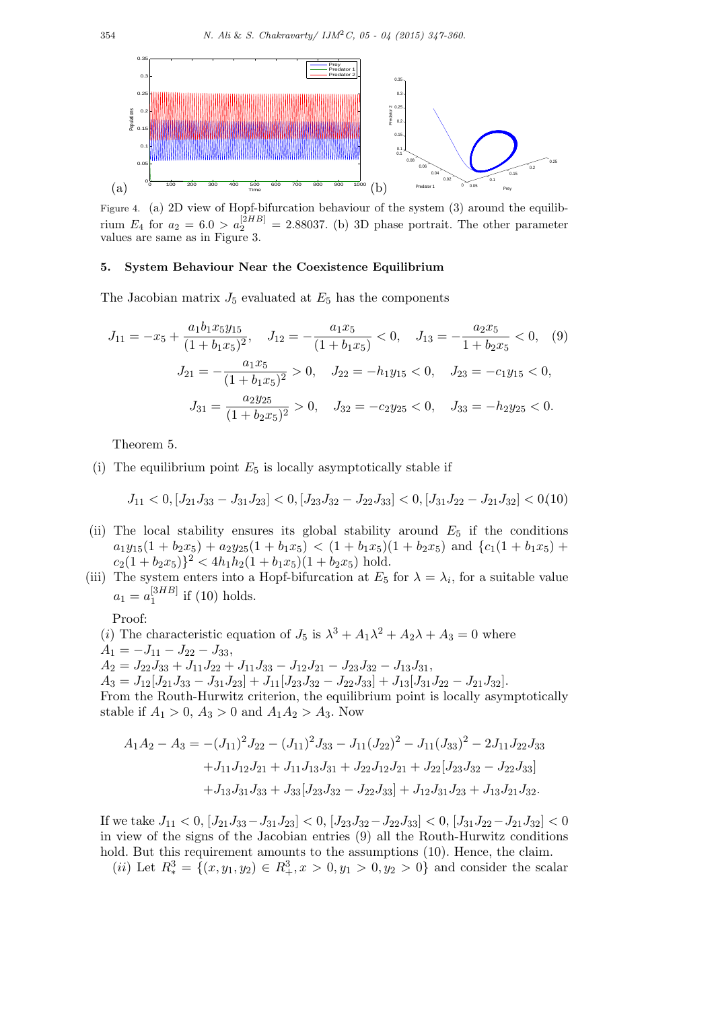

Figure 4. (a) 2D view of Hopf-bifurcation behaviour of the system (3) around the equilibrium  $E_4$  for  $a_2 = 6.0 > a_2^{\{2HB\}} = 2.88037$ . (b) 3D phase portrait. The other parameter values are same as in Figure 3.

# **5. System Behaviour Near the Coexistence Equilibrium**

The Jacobian matrix  $J_5$  evaluated at  $E_5$  has the components

$$
J_{11} = -x_5 + \frac{a_1 b_1 x_5 y_{15}}{(1 + b_1 x_5)^2}, \quad J_{12} = -\frac{a_1 x_5}{(1 + b_1 x_5)} < 0, \quad J_{13} = -\frac{a_2 x_5}{1 + b_2 x_5} < 0,\tag{9}
$$
\n
$$
J_{21} = -\frac{a_1 x_5}{(1 + b_1 x_5)^2} > 0, \quad J_{22} = -h_1 y_{15} < 0, \quad J_{23} = -c_1 y_{15} < 0,
$$
\n
$$
J_{31} = \frac{a_2 y_{25}}{(1 + b_2 x_5)^2} > 0, \quad J_{32} = -c_2 y_{25} < 0, \quad J_{33} = -h_2 y_{25} < 0.
$$

Theorem 5.

(i) The equilibrium point  $E_5$  is locally asymptotically stable if

$$
J_{11} < 0, [J_{21}J_{33} - J_{31}J_{23}] < 0, [J_{23}J_{32} - J_{22}J_{33}] < 0, [J_{31}J_{22} - J_{21}J_{32}] < 0
$$
(10)

- (ii) The local stability ensures its global stability around  $E<sub>5</sub>$  if the conditions  $a_1y_{15}(1 + b_2x_5) + a_2y_{25}(1 + b_1x_5) < (1 + b_1x_5)(1 + b_2x_5)$  and  $\{c_1(1 + b_1x_5) + c_2x_5\}$  $c_2(1 + b_2x_5)^2 < 4h_1h_2(1 + b_1x_5)(1 + b_2x_5)$  hold.
- (iii) The system enters into a Hopf-bifurcation at  $E_5$  for  $\lambda = \lambda_i$ , for a suitable value  $a_1 = a_1^{[3HB]}$  $_1^{\text{[3H B]}}$  if  $(10)$  holds.

Proof:

(*i*) The characteristic equation of  $J_5$  is  $\lambda^3 + A_1 \lambda^2 + A_2 \lambda + A_3 = 0$  where  $A_1 = -J_{11} - J_{22} - J_{33}$  $A_2 = J_{22}J_{33} + J_{11}J_{22} + J_{11}J_{33} - J_{12}J_{21} - J_{23}J_{32} - J_{13}J_{31}$  $A_3 = J_{12}[J_{21}J_{33} - J_{31}J_{23}] + J_{11}[J_{23}J_{32} - J_{22}J_{33}] + J_{13}[J_{31}J_{22} - J_{21}J_{32}].$ From the Routh-Hurwitz criterion, the equilibrium point is locally asymptotically stable if  $A_1 > 0$ ,  $A_3 > 0$  and  $A_1 A_2 > A_3$ . Now

$$
A_1A_2 - A_3 = -(J_{11})^2 J_{22} - (J_{11})^2 J_{33} - J_{11}(J_{22})^2 - J_{11}(J_{33})^2 - 2J_{11}J_{22}J_{33}
$$
  
+  $J_{11}J_{12}J_{21} + J_{11}J_{13}J_{31} + J_{22}J_{12}J_{21} + J_{22}[J_{23}J_{32} - J_{22}J_{33}]$   
+  $J_{13}J_{31}J_{33} + J_{33}[J_{23}J_{32} - J_{22}J_{33}] + J_{12}J_{31}J_{23} + J_{13}J_{21}J_{32}.$ 

If we take  $J_{11} < 0$ ,  $[J_{21}J_{33}-J_{31}J_{23}] < 0$ ,  $[J_{23}J_{32}-J_{22}J_{33}] < 0$ ,  $[J_{31}J_{22}-J_{21}J_{32}] < 0$ in view of the signs of the Jacobian entries (9) all the Routh-Hurwitz conditions hold. But this requirement amounts to the assumptions (10). Hence, the claim.

 $(iii)$  Let  $R_*^3 = \{(x, y_1, y_2) \in R_+^3, x > 0, y_1 > 0, y_2 > 0\}$  and consider the scalar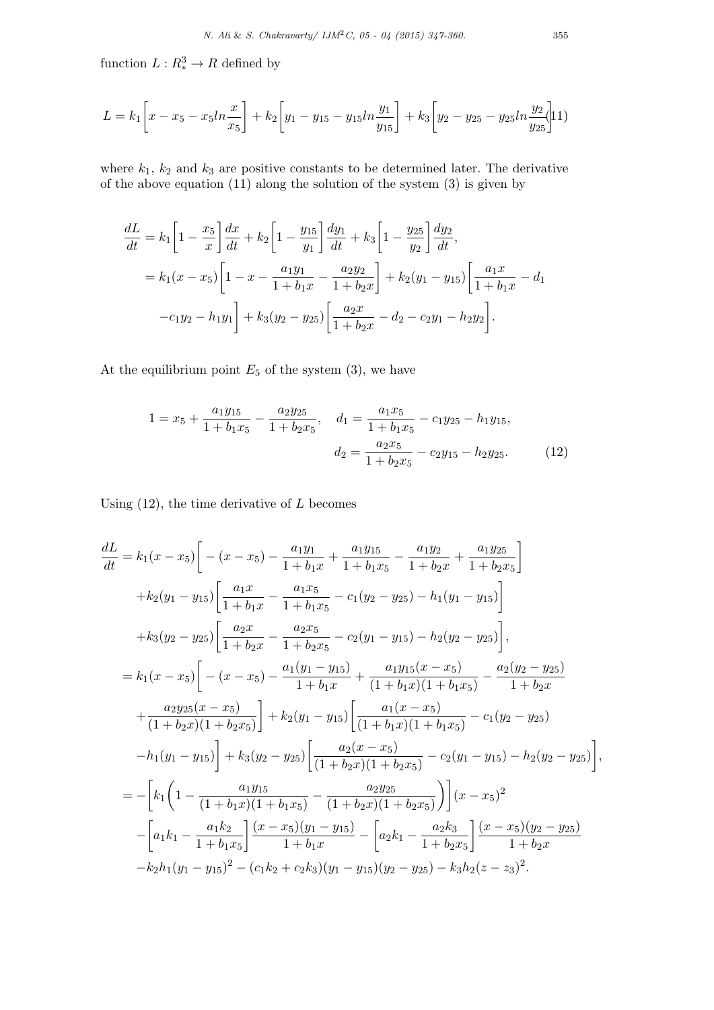function  $L: R_*^3 \to R$  defined by

$$
L = k_1 \left[ x - x_5 - x_5 \ln \frac{x}{x_5} \right] + k_2 \left[ y_1 - y_{15} - y_{15} \ln \frac{y_1}{y_{15}} \right] + k_3 \left[ y_2 - y_{25} - y_{25} \ln \frac{y_2}{y_{25}} \right] \ln 1
$$

where  $k_1$ ,  $k_2$  and  $k_3$  are positive constants to be determined later. The derivative of the above equation  $(11)$  along the solution of the system  $(3)$  is given by

$$
\frac{dL}{dt} = k_1 \left[ 1 - \frac{x_5}{x} \right] \frac{dx}{dt} + k_2 \left[ 1 - \frac{y_{15}}{y_1} \right] \frac{dy_1}{dt} + k_3 \left[ 1 - \frac{y_{25}}{y_2} \right] \frac{dy_2}{dt},
$$
  
\n
$$
= k_1 (x - x_5) \left[ 1 - x - \frac{a_1 y_1}{1 + b_1 x} - \frac{a_2 y_2}{1 + b_2 x} \right] + k_2 (y_1 - y_{15}) \left[ \frac{a_1 x}{1 + b_1 x} - d_1 \right.
$$
  
\n
$$
-c_1 y_2 - h_1 y_1 \right] + k_3 (y_2 - y_{25}) \left[ \frac{a_2 x}{1 + b_2 x} - d_2 - c_2 y_1 - h_2 y_2 \right].
$$

At the equilibrium point  $E_5$  of the system  $(3)$ , we have

$$
1 = x_5 + \frac{a_1 y_{15}}{1 + b_1 x_5} - \frac{a_2 y_{25}}{1 + b_2 x_5}, \quad d_1 = \frac{a_1 x_5}{1 + b_1 x_5} - c_1 y_{25} - h_1 y_{15},
$$

$$
d_2 = \frac{a_2 x_5}{1 + b_2 x_5} - c_2 y_{15} - h_2 y_{25}.
$$
(12)

Using (12), the time derivative of *L* becomes

$$
\frac{dL}{dt} = k_1(x - x_5) \left[ -(x - x_5) - \frac{a_1 y_1}{1 + b_1 x} + \frac{a_1 y_1 5}{1 + b_1 x_5} - \frac{a_1 y_2}{1 + b_2 x} + \frac{a_1 y_2 5}{1 + b_2 x_5} \right]
$$
\n
$$
+ k_2(y_1 - y_{15}) \left[ \frac{a_1 x}{1 + b_1 x} - \frac{a_1 x_5}{1 + b_1 x_5} - c_1(y_2 - y_{25}) - h_1(y_1 - y_{15}) \right]
$$
\n
$$
+ k_3(y_2 - y_{25}) \left[ \frac{a_2 x}{1 + b_2 x} - \frac{a_2 x_5}{1 + b_2 x_5} - c_2(y_1 - y_{15}) - h_2(y_2 - y_{25}) \right],
$$
\n
$$
= k_1(x - x_5) \left[ -(x - x_5) - \frac{a_1(y_1 - y_{15})}{1 + b_1 x} + \frac{a_1 y_{15}(x - x_5)}{(1 + b_1 x)(1 + b_1 x_5)} - \frac{a_2(y_2 - y_{25})}{1 + b_2 x} + \frac{a_2 y_{25}(x - x_5)}{(1 + b_2 x)(1 + b_2 x_5)} \right] + k_2(y_1 - y_{15}) \left[ \frac{a_1(x - x_5)}{(1 + b_1 x)(1 + b_1 x_5)} - c_1(y_2 - y_{25}) - h_1(y_1 - y_{15}) \right] + k_3(y_2 - y_{25}) \left[ \frac{a_2(x - x_5)}{(1 + b_2 x)(1 + b_2 x_5)} - c_2(y_1 - y_{15}) - h_2(y_2 - y_{25}) \right],
$$
\n
$$
= -\left[ k_1 \left( 1 - \frac{a_1 y_{15}}{(1 + b_1 x)(1 + b_1 x_5)} - \frac{a_2 y_{25}}{(1 + b_2 x)(1 + b_2 x_5)} \right) \right](x - x_5)^2 - \left[ a_1 k_1 - \frac{a_1 k_2}{1 + b_1 x_5} \right] \frac{(x - x_5)(y_1 - y_{15})}{1 + b_1 x} - \left[ a_2 k_1 - \frac{a_2 k_
$$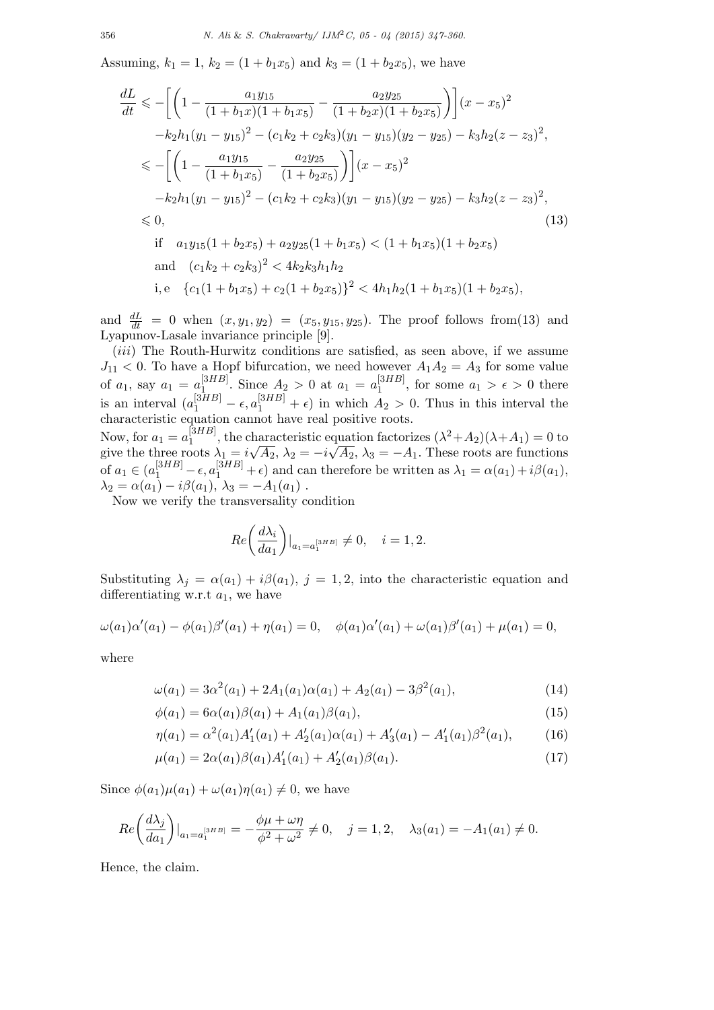Assuming,  $k_1 = 1$ ,  $k_2 = (1 + b_1x_5)$  and  $k_3 = (1 + b_2x_5)$ , we have

$$
\frac{dL}{dt} \leqslant -\left[ \left( 1 - \frac{a_1 y_{15}}{(1 + b_1 x)(1 + b_1 x_5)} - \frac{a_2 y_{25}}{(1 + b_2 x)(1 + b_2 x_5)} \right) \right] (x - x_5)^2
$$
\n
$$
-k_2 h_1 (y_1 - y_{15})^2 - (c_1 k_2 + c_2 k_3)(y_1 - y_{15})(y_2 - y_{25}) - k_3 h_2 (z - z_3)^2,
$$
\n
$$
\leqslant -\left[ \left( 1 - \frac{a_1 y_{15}}{(1 + b_1 x_5)} - \frac{a_2 y_{25}}{(1 + b_2 x_5)} \right) \right] (x - x_5)^2
$$
\n
$$
-k_2 h_1 (y_1 - y_{15})^2 - (c_1 k_2 + c_2 k_3)(y_1 - y_{15})(y_2 - y_{25}) - k_3 h_2 (z - z_3)^2,
$$
\n
$$
\leqslant 0,
$$
\n(13)\n\nif  $a_1 y_{15} (1 + b_2 x_5) + a_2 y_{25} (1 + b_1 x_5) < (1 + b_1 x_5)(1 + b_2 x_5)$ \nand  $(c_1 k_2 + c_2 k_3)^2 < 4 k_2 k_3 h_1 h_2$ \n
$$
i, e \quad \{c_1 (1 + b_1 x_5) + c_2 (1 + b_2 x_5)\}^2 < 4 h_1 h_2 (1 + b_1 x_5)(1 + b_2 x_5),
$$
\n(14)

and  $\frac{dL}{dt} = 0$  when  $(x, y_1, y_2) = (x_5, y_{15}, y_{25})$ . The proof follows from (13) and Lyapunov-Lasale invariance principle [9].

(*iii*) The Routh-Hurwitz conditions are satisfied, as seen above, if we assume  $J_{11}$  < 0. To have a Hopf bifurcation, we need however  $A_1A_2 = A_3$  for some value of  $a_1$ , say  $a_1 = a_1^{[3HB]}$  $\binom{[3HB]}{1}$ . Since  $A_2 > 0$  at  $a_1 = a_1^{[3HB]}$  $a_1 > \epsilon > 0$  there is an interval  $(a_1^{[3HB]} - \epsilon, a_1^{[3HB]} + \epsilon)$  in which  $A_2 > 0$ . Thus in this interval the characteristic equation cannot have real positive roots.

Now, for  $a_1 = a_1^{[3HB]}$  $\left(\frac{3HB}{1}\right)$ , the characteristic equation factorizes  $(\lambda^2 + A_2)(\lambda + A_1) = 0$  to give the three roots  $\lambda_1 = i$ *√*  $A_2, \lambda_2 = -i$ *√*  $\overline{A_2}$ ,  $\lambda_3 = -A_1$ . These roots are functions of  $a_1 \in (a_1^{[3HB]} - \epsilon, a_1^{[3HB]} + \epsilon)$  and can therefore be written as  $\lambda_1 = \alpha(a_1) + i\beta(a_1)$ ,  $\lambda_2 = \alpha(a_1) - i\beta(a_1), \lambda_3 = -A_1(a_1).$ 

Now we verify the transversality condition

$$
Re\left(\frac{d\lambda_i}{da_1}\right)|_{a_1=a_1^{[3HB]}} \neq 0, \quad i=1,2.
$$

Substituting  $\lambda_j = \alpha(a_1) + i\beta(a_1)$ ,  $j = 1, 2$ , into the characteristic equation and differentiating w.r.t  $a_1$ , we have

$$
\omega(a_1)\alpha'(a_1) - \phi(a_1)\beta'(a_1) + \eta(a_1) = 0, \quad \phi(a_1)\alpha'(a_1) + \omega(a_1)\beta'(a_1) + \mu(a_1) = 0,
$$

where

$$
\omega(a_1) = 3\alpha^2(a_1) + 2A_1(a_1)\alpha(a_1) + A_2(a_1) - 3\beta^2(a_1),\tag{14}
$$

$$
\phi(a_1) = 6\alpha(a_1)\beta(a_1) + A_1(a_1)\beta(a_1),\tag{15}
$$

$$
\eta(a_1) = \alpha^2(a_1)A'_1(a_1) + A'_2(a_1)\alpha(a_1) + A'_3(a_1) - A'_1(a_1)\beta^2(a_1),\tag{16}
$$

$$
\mu(a_1) = 2\alpha(a_1)\beta(a_1)A'_1(a_1) + A'_2(a_1)\beta(a_1). \tag{17}
$$

Since  $\phi(a_1)\mu(a_1) + \omega(a_1)\eta(a_1) \neq 0$ , we have

$$
Re\left(\frac{d\lambda_j}{da_1}\right)|_{a_1=a_1^{[3HB]}}=-\frac{\phi\mu+\omega\eta}{\phi^2+\omega^2}\neq 0, \quad j=1,2, \quad \lambda_3(a_1)=-A_1(a_1)\neq 0.
$$

Hence, the claim.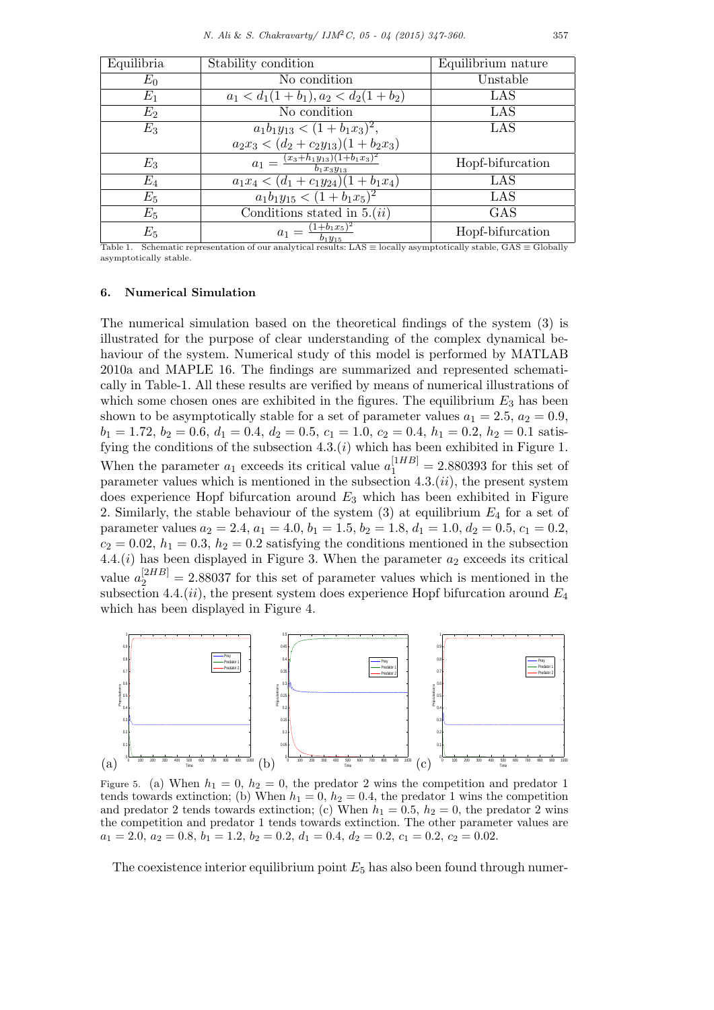| Equilibria | Stability condition                                          | Equilibrium nature |
|------------|--------------------------------------------------------------|--------------------|
| $E_0$      | No condition                                                 | Unstable           |
| $E_1$      | $a_1 < d_1(1+b_1), a_2 < d_2(1+b_2)$                         | LAS                |
| $E_2$      | No condition                                                 | LAS                |
| $E_3$      | $a_1b_1y_{13} < (1+b_1x_3)^2$ ,                              | LAS                |
|            | $a_2x_3 < (d_2 + c_2y_{13})(1 + b_2x_3)$                     |                    |
| $E_3$      | $a_1 = \frac{(x_3 + h_1y_{13})(1 + b_1x_3)^2}{b_1x_3y_{13}}$ | Hopf-bifurcation   |
| $E_4$      | $a_1x_4 < (d_1 + c_1y_{24})(1 + b_1x_4)$                     | LAS                |
| $E_5$      | $a_1b_1y_{15} < \overline{(1+b_1x_5)^2}$                     | LAS                |
| $E_5$      | Conditions stated in $5.(ii)$                                | GAS                |
| $E_{5}$    | $\frac{(1+b_1x_5)^2}{h^2}$<br>$a_1 =$                        | Hopf-bifurcation   |

Table 1. Schematic representation of our analytical results: LAS *≡* locally asymptotically stable, GAS *≡* Globally asymptotically stable.

# **6. Numerical Simulation**

The numerical simulation based on the theoretical findings of the system (3) is illustrated for the purpose of clear understanding of the complex dynamical behaviour of the system. Numerical study of this model is performed by MATLAB 2010a and MAPLE 16. The findings are summarized and represented schematically in Table-1. All these results are verified by means of numerical illustrations of which some chosen ones are exhibited in the figures. The equilibrium  $E_3$  has been shown to be asymptotically stable for a set of parameter values  $a_1 = 2.5$ ,  $a_2 = 0.9$ ,  $b_1 = 1.72, b_2 = 0.6, d_1 = 0.4, d_2 = 0.5, c_1 = 1.0, c_2 = 0.4, h_1 = 0.2, h_2 = 0.1$  satisfying the conditions of the subsection 4*.*3*.*(*i*) which has been exhibited in Figure 1. When the parameter  $a_1$  exceeds its critical value  $a_1^{\{1HB\}} = 2.880393$  for this set of parameter values which is mentioned in the subsection 4*.*3*.*(*ii*), the present system does experience Hopf bifurcation around *E*<sup>3</sup> which has been exhibited in Figure 2. Similarly, the stable behaviour of the system (3) at equilibrium *E*<sup>4</sup> for a set of parameter values  $a_2 = 2.4$ ,  $a_1 = 4.0$ ,  $b_1 = 1.5$ ,  $b_2 = 1.8$ ,  $d_1 = 1.0$ ,  $d_2 = 0.5$ ,  $c_1 = 0.2$ ,  $c_2 = 0.02$ ,  $h_1 = 0.3$ ,  $h_2 = 0.2$  satisfying the conditions mentioned in the subsection  $4.4.(i)$  has been displayed in Figure 3. When the parameter  $a_2$  exceeds its critical value  $a_2^{[2HB]} = 2.88037$  for this set of parameter values which is mentioned in the subsection 4*.*4*.*(*ii*), the present system does experience Hopf bifurcation around *E*<sup>4</sup> which has been displayed in Figure 4.



Figure 5. (a) When  $h_1 = 0$ ,  $h_2 = 0$ , the predator 2 wins the competition and predator 1 tends towards extinction; (b) When  $h_1 = 0$ ,  $h_2 = 0.4$ , the predator 1 wins the competition and predator 2 tends towards extinction; (c) When  $h_1 = 0.5$ ,  $h_2 = 0$ , the predator 2 wins the competition and predator 1 tends towards extinction. The other parameter values are  $a_1 = 2.0, a_2 = 0.8, b_1 = 1.2, b_2 = 0.2, d_1 = 0.4, d_2 = 0.2, c_1 = 0.2, c_2 = 0.02.$ 

The coexistence interior equilibrium point  $E_5$  has also been found through numer-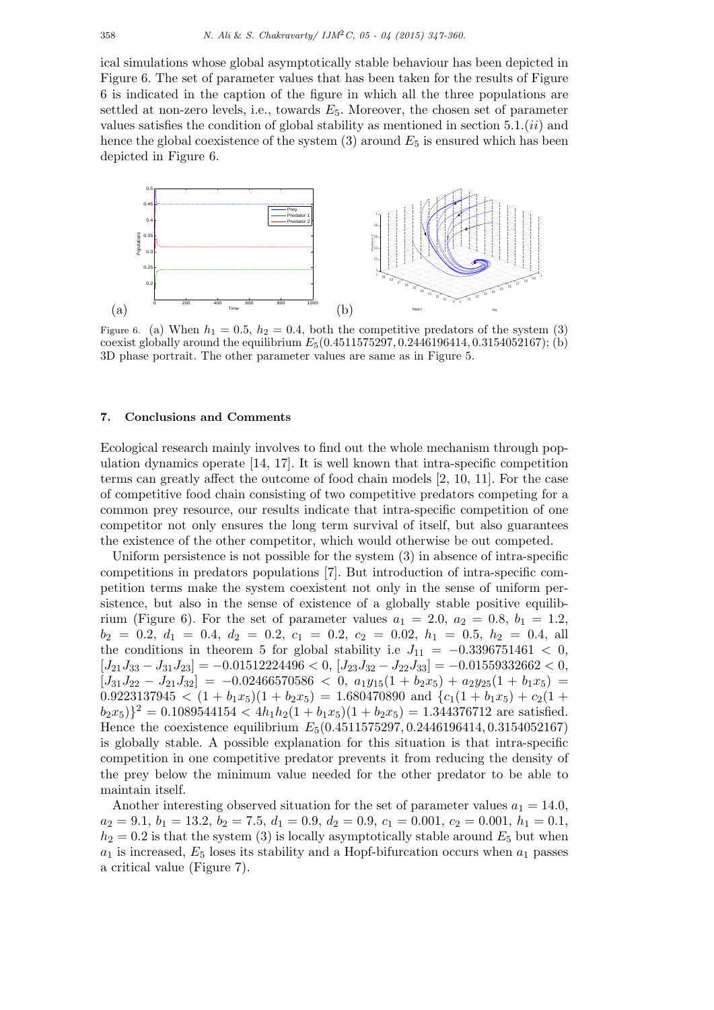ical simulations whose global asymptotically stable behaviour has been depicted in Figure 6. The set of parameter values that has been taken for the results of Figure 6 is indicated in the caption of the figure in which all the three populations are settled at non-zero levels, i.e., towards *E*5. Moreover, the chosen set of parameter values satisfies the condition of global stability as mentioned in section 5*.*1*.*(*ii*) and hence the global coexistence of the system (3) around  $E_5$  is ensured which has been depicted in Figure 6.



Figure 6. (a) When  $h_1 = 0.5$ ,  $h_2 = 0.4$ , both the competitive predators of the system (3) coexist globally around the equilibrium *E*5(0*.*4511575297*,* 0*.*2446196414*,* 0*.*3154052167); (b) 3D phase portrait. The other parameter values are same as in Figure 5.

### **7. Conclusions and Comments**

Ecological research mainly involves to find out the whole mechanism through population dynamics operate [14, 17]. It is well known that intra-specific competition terms can greatly affect the outcome of food chain models [2, 10, 11]. For the case of competitive food chain consisting of two competitive predators competing for a common prey resource, our results indicate that intra-specific competition of one competitor not only ensures the long term survival of itself, but also guarantees the existence of the other competitor, which would otherwise be out competed.

Uniform persistence is not possible for the system (3) in absence of intra-specific competitions in predators populations [7]. But introduction of intra-specific competition terms make the system coexistent not only in the sense of uniform persistence, but also in the sense of existence of a globally stable positive equilibrium (Figure 6). For the set of parameter values  $a_1 = 2.0, a_2 = 0.8, b_1 = 1.2,$  $b_2 = 0.2, d_1 = 0.4, d_2 = 0.2, c_1 = 0.2, c_2 = 0.02, h_1 = 0.5, h_2 = 0.4, \text{all}$ the conditions in theorem 5 for global stability i.e  $J_{11} = -0.3396751461 < 0$ , [*J*21*J*<sup>33</sup> *− J*31*J*23] = *−*0*.*01512224496 *<* 0, [*J*23*J*<sup>32</sup> *− J*22*J*33] = *−*0*.*01559332662 *<* 0,  $[J_{31}J_{22} - J_{21}J_{32}] = -0.02466570586 < 0, a_1y_{15}(1 + b_2x_5) + a_2y_{25}(1 + b_1x_5) =$  $0.9223137945 < (1 + b_1x_5)(1 + b_2x_5) = 1.680470890$  and  $\{c_1(1 + b_1x_5) + c_2(1 + b_2x_5)\}$  $(b_2x_5)^2 = 0.1089544154 < 4h_1h_2(1 + b_1x_5)(1 + b_2x_5) = 1.344376712$  are satisfied. Hence the coexistence equilibrium *E*5(0*.*4511575297*,* 0*.*2446196414*,* 0*.*3154052167) is globally stable. A possible explanation for this situation is that intra-specific competition in one competitive predator prevents it from reducing the density of the prey below the minimum value needed for the other predator to be able to maintain itself.

Another interesting observed situation for the set of parameter values  $a_1 = 14.0$ ,  $a_2 = 9.1, b_1 = 13.2, b_2 = 7.5, d_1 = 0.9, d_2 = 0.9, c_1 = 0.001, c_2 = 0.001, h_1 = 0.1,$  $h_2 = 0.2$  is that the system (3) is locally asymptotically stable around  $E_5$  but when  $a_1$  is increased,  $E_5$  loses its stability and a Hopf-bifurcation occurs when  $a_1$  passes a critical value (Figure 7).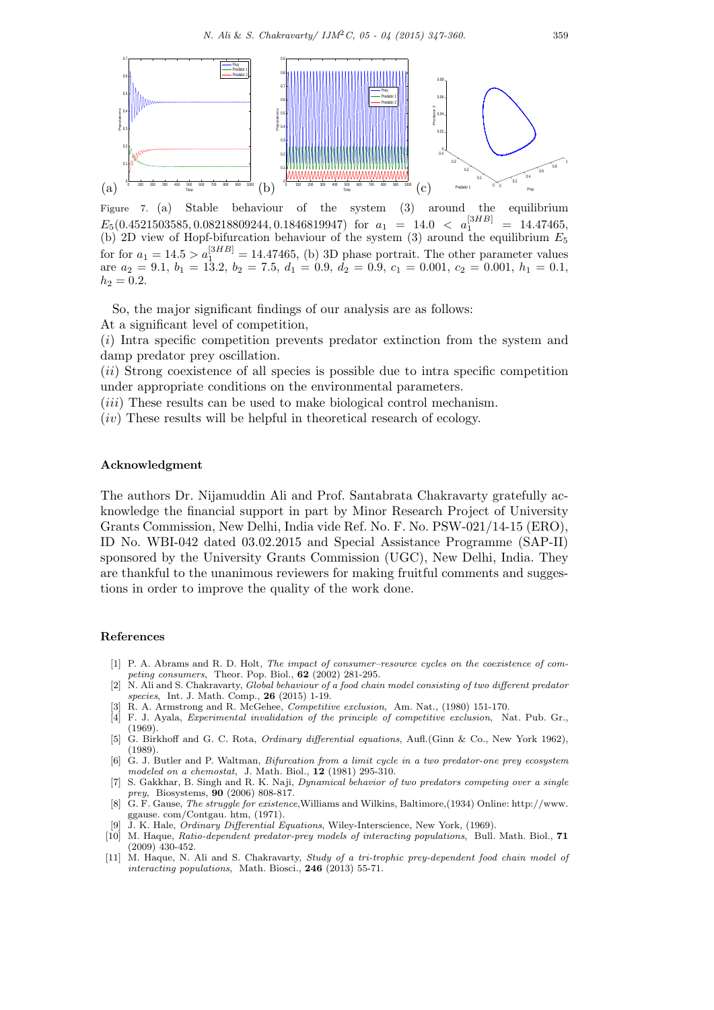

Figure 7. (a) Stable behaviour of the system (3) around the equilibrium  $E_5(0.4521503585, 0.08218809244, 0.1846819947)$  for  $a_1 = 14.0 < a_1^{[3HB]}$ <sup>1</sup> = 14*.*47465, (b) 2D view of Hopf-bifurcation behaviour of the system (3) around the equilibrium *E*<sup>5</sup> for for  $a_1 = 14.5 > a_1^{[3HB]} = 14.47465$ , (b) 3D phase portrait. The other parameter values are  $a_2 = 9.1$ ,  $b_1 = 13.2$ ,  $b_2 = 7.5$ ,  $d_1 = 0.9$ ,  $d_2 = 0.9$ ,  $c_1 = 0.001$ ,  $c_2 = 0.001$ ,  $h_1 = 0.1$ ,  $h_2 = 0.2$ .

So, the major significant findings of our analysis are as follows:

At a significant level of competition,

(*i*) Intra specific competition prevents predator extinction from the system and damp predator prey oscillation.

(*ii*) Strong coexistence of all species is possible due to intra specific competition under appropriate conditions on the environmental parameters.

(*iii*) These results can be used to make biological control mechanism.

(*iv*) These results will be helpful in theoretical research of ecology.

# **Acknowledgment**

The authors Dr. Nijamuddin Ali and Prof. Santabrata Chakravarty gratefully acknowledge the financial support in part by Minor Research Project of University Grants Commission, New Delhi, India vide Ref. No. F. No. PSW-021/14-15 (ERO), ID No. WBI-042 dated 03.02.2015 and Special Assistance Programme (SAP-II) sponsored by the University Grants Commission (UGC), New Delhi, India. They are thankful to the unanimous reviewers for making fruitful comments and suggestions in order to improve the quality of the work done.

### **References**

- [1] P. A. Abrams and R. D. Holt, *The impact of consumer–resource cycles on the coexistence of competing consumers*, Theor. Pop. Biol., **62** (2002) 281-295.
- [2] N. Ali and S. Chakravarty, *Global behaviour of a food chain model consisting of two different predator species*, Int. J. Math. Comp., **26** (2015) 1-19.
- [3] R. A. Armstrong and R. McGehee, *Competitive exclusion*, Am. Nat., (1980) 151-170.
- [4] F. J. Ayala, *Experimental invalidation of the principle of competitive exclusion*, Nat. Pub. Gr., (1969).
- [5] G. Birkhoff and G. C. Rota, *Ordinary differential equations*, Aufl.(Ginn & Co., New York 1962), (1989).
- [6] G. J. Butler and P. Waltman, *Bifurcation from a limit cycle in a two predator-one prey ecosystem modeled on a chemostat*, J. Math. Biol., **12** (1981) 295-310.
- [7] S. Gakkhar, B. Singh and R. K. Naji, *Dynamical behavior of two predators competing over a single prey*, Biosystems, **90** (2006) 808-817.
- [8] G. F. Gause, *The struggle for existence*,Williams and Wilkins, Baltimore,(1934) Online: http://www. ggause. com/Contgau. htm, (1971).
- [9] J. K. Hale, *Ordinary Differential Equations*, Wiley-Interscience, New York, (1969).
- [10] M. Haque, *Ratio-dependent predator-prey models of interacting populations*, Bull. Math. Biol., **71** (2009) 430-452.
- [11] M. Haque, N. Ali and S. Chakravarty, *Study of a tri-trophic prey-dependent food chain model of interacting populations*, Math. Biosci., **246** (2013) 55-71.